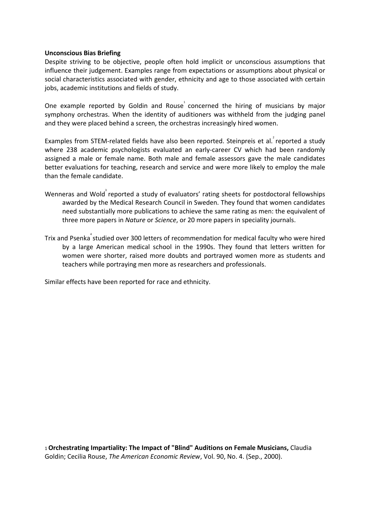## **Unconscious Bias Briefing**

Despite striving to be objective, people often hold implicit or unconscious assumptions that influence their judgement. Examples range from expectations or assumptions about physical or social characteristics associated with gender, ethnicity and age to those associated with certain jobs, academic institutions and fields of study.

One example reported by Goldin and Rouse $\overline{1}$  concerned the hiring of musicians by major symphony orchestras. When the identity of auditioners was withheld from the judging panel and they were placed behind a screen, the orchestras increasingly hired women.

Examples from STEM-related fields have also been reported. Steinpreis et al. reported a study where 238 academic psychologists evaluated an early-career CV which had been randomly assigned a male or female name. Both male and female assessors gave the male candidates better evaluations for teaching, research and service and were more likely to employ the male than the female candidate.

- Wenneras and Wold<sup>3</sup> reported a study of evaluators' rating sheets for postdoctoral fellowships awarded by the Medical Research Council in Sweden. They found that women candidates need substantially more publications to achieve the same rating as men: the equivalent of three more papers in *Nature* or *Science*, or 20 more papers in speciality journals.
- Trix and Psenka<sup>4</sup> studied over 300 letters of recommendation for medical faculty who were hired by a large American medical school in the 1990s. They found that letters written for women were shorter, raised more doubts and portrayed women more as students and teachers while portraying men more as researchers and professionals.

Similar effects have been reported for race and ethnicity.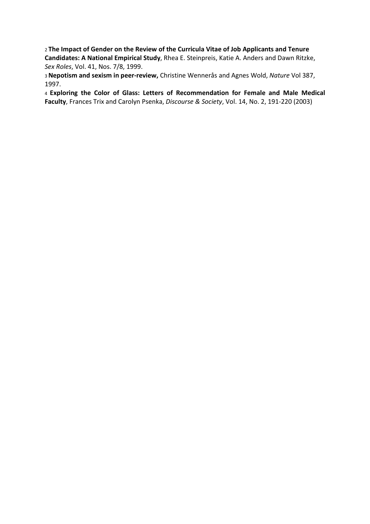<sup>2</sup>**The Impact of Gender on the Review of the Curricula Vitae of Job Applicants and Tenure Candidates: A National Empirical Study**, Rhea E. Steinpreis, Katie A. Anders and Dawn Ritzke, *Sex Roles*, Vol. 41, Nos. 7/8, 1999.

<sup>3</sup>**Nepotism and sexism in peer-review,** Christine Wennerås and Agnes Wold, *Nature* Vol 387, 1997.

<sup>4</sup>**Exploring the Color of Glass: Letters of Recommendation for Female and Male Medical Faculty**, Frances Trix and Carolyn Psenka, *Discourse & Society*, Vol. 14, No. 2, 191-220 (2003)